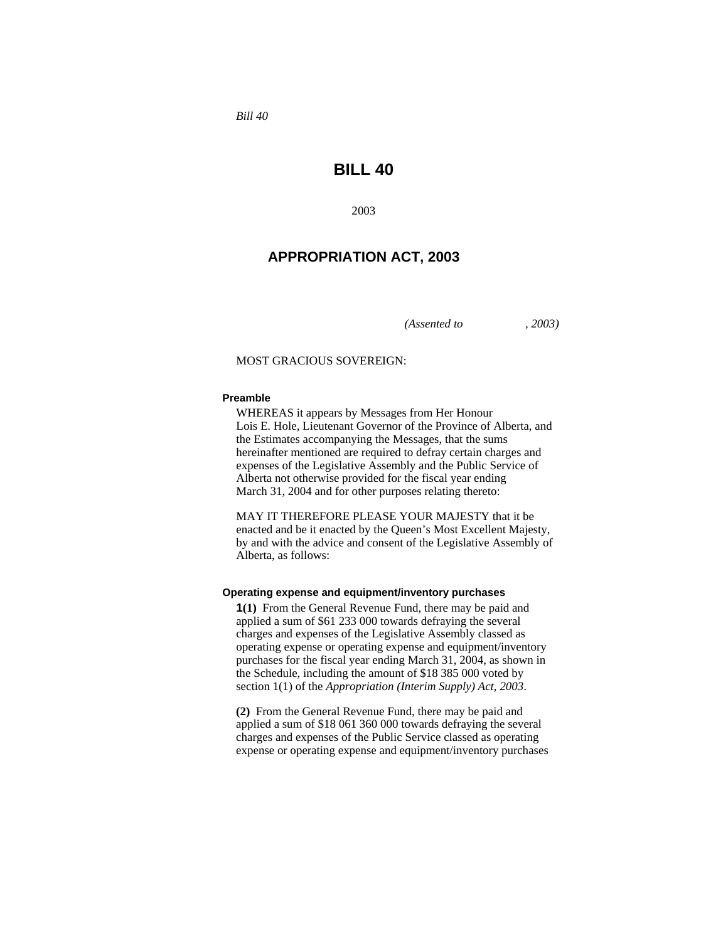*Bill 40* 

# **BILL 40**

2003

## **APPROPRIATION ACT, 2003**

*(Assented to , 2003)* 

#### MOST GRACIOUS SOVEREIGN:

#### **Preamble**

WHEREAS it appears by Messages from Her Honour Lois E. Hole, Lieutenant Governor of the Province of Alberta, and the Estimates accompanying the Messages, that the sums hereinafter mentioned are required to defray certain charges and expenses of the Legislative Assembly and the Public Service of Alberta not otherwise provided for the fiscal year ending March 31, 2004 and for other purposes relating thereto:

MAY IT THEREFORE PLEASE YOUR MAJESTY that it be enacted and be it enacted by the Queen's Most Excellent Majesty, by and with the advice and consent of the Legislative Assembly of Alberta, as follows:

#### **Operating expense and equipment/inventory purchases**

**1(1)** From the General Revenue Fund, there may be paid and applied a sum of \$61 233 000 towards defraying the several charges and expenses of the Legislative Assembly classed as operating expense or operating expense and equipment/inventory purchases for the fiscal year ending March 31, 2004, as shown in the Schedule, including the amount of \$18 385 000 voted by section 1(1) of the *Appropriation (Interim Supply) Act, 2003*.

**(2)** From the General Revenue Fund, there may be paid and applied a sum of \$18 061 360 000 towards defraying the several charges and expenses of the Public Service classed as operating expense or operating expense and equipment/inventory purchases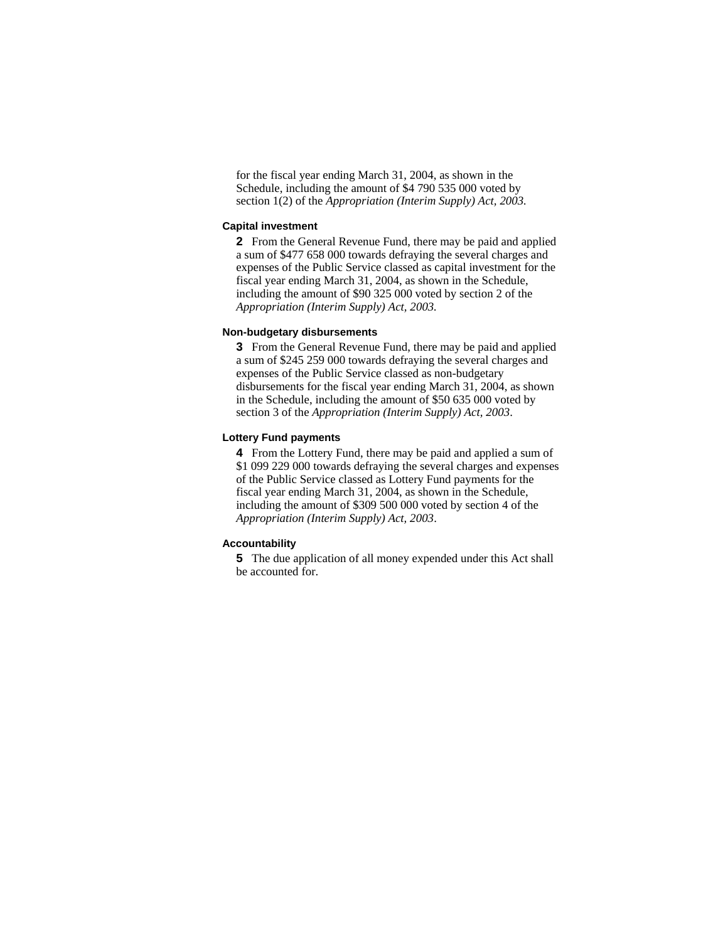for the fiscal year ending March 31, 2004, as shown in the Schedule, including the amount of \$4 790 535 000 voted by section 1(2) of the *Appropriation (Interim Supply) Act, 2003.* 

#### **Capital investment**

**2** From the General Revenue Fund, there may be paid and applied a sum of \$477 658 000 towards defraying the several charges and expenses of the Public Service classed as capital investment for the fiscal year ending March 31, 2004, as shown in the Schedule, including the amount of \$90 325 000 voted by section 2 of the *Appropriation (Interim Supply) Act, 2003.*

### **Non-budgetary disbursements**

**3** From the General Revenue Fund, there may be paid and applied a sum of \$245 259 000 towards defraying the several charges and expenses of the Public Service classed as non-budgetary disbursements for the fiscal year ending March 31, 2004, as shown in the Schedule, including the amount of \$50 635 000 voted by section 3 of the *Appropriation (Interim Supply) Act, 2003*.

### **Lottery Fund payments**

**4** From the Lottery Fund, there may be paid and applied a sum of \$1 099 229 000 towards defraying the several charges and expenses of the Public Service classed as Lottery Fund payments for the fiscal year ending March 31, 2004, as shown in the Schedule, including the amount of \$309 500 000 voted by section 4 of the *Appropriation (Interim Supply) Act, 2003*.

### **Accountability**

**5** The due application of all money expended under this Act shall be accounted for.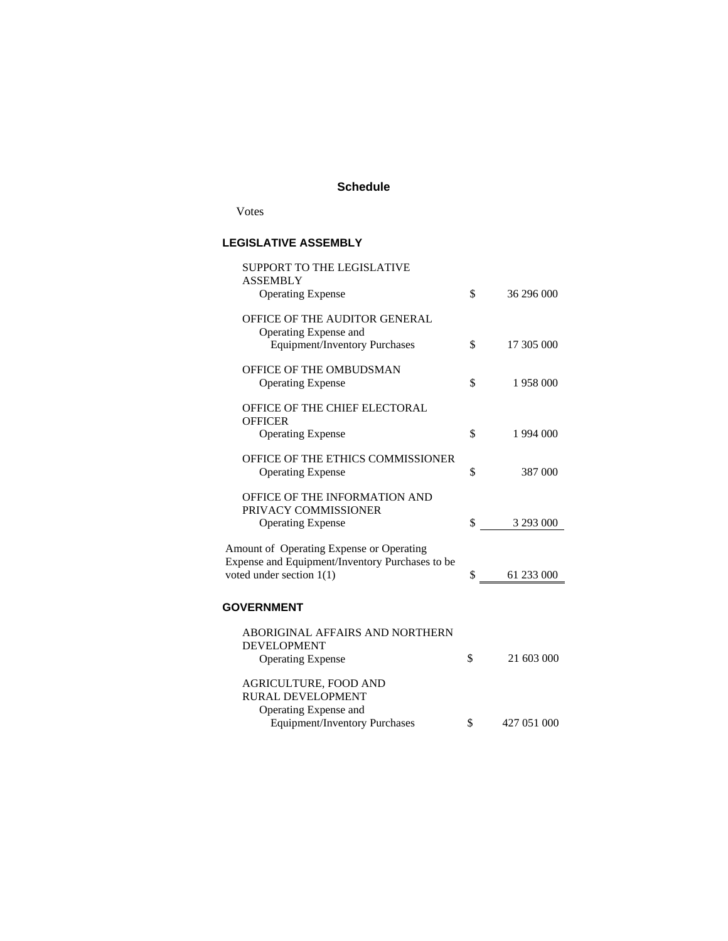## **Schedule**

Votes

## **LEGISLATIVE ASSEMBLY**

| SUPPORT TO THE LEGISLATIVE                      |                   |
|-------------------------------------------------|-------------------|
| <b>ASSEMBLY</b><br><b>Operating Expense</b>     | \$<br>36 296 000  |
| OFFICE OF THE AUDITOR GENERAL                   |                   |
| Operating Expense and                           |                   |
| Equipment/Inventory Purchases                   | \$<br>17 305 000  |
| OFFICE OF THE OMBUDSMAN                         |                   |
| <b>Operating Expense</b>                        | \$<br>1958000     |
| OFFICE OF THE CHIEF ELECTORAL                   |                   |
| <b>OFFICER</b>                                  |                   |
| <b>Operating Expense</b>                        | \$<br>1 994 000   |
| OFFICE OF THE ETHICS COMMISSIONER               |                   |
| <b>Operating Expense</b>                        | \$<br>387 000     |
| OFFICE OF THE INFORMATION AND                   |                   |
| PRIVACY COMMISSIONER                            |                   |
| <b>Operating Expense</b>                        | \$<br>3 293 000   |
| Amount of Operating Expense or Operating        |                   |
| Expense and Equipment/Inventory Purchases to be |                   |
| voted under section $1(1)$                      | \$<br>61 233 000  |
|                                                 |                   |
| <b>GOVERNMENT</b>                               |                   |
| ABORIGINAL AFFAIRS AND NORTHERN                 |                   |
| <b>DEVELOPMENT</b>                              |                   |
| <b>Operating Expense</b>                        | \$<br>21 603 000  |
| AGRICULTURE, FOOD AND                           |                   |
| RURAL DEVELOPMENT                               |                   |
| Operating Expense and                           |                   |
| <b>Equipment/Inventory Purchases</b>            | \$<br>427 051 000 |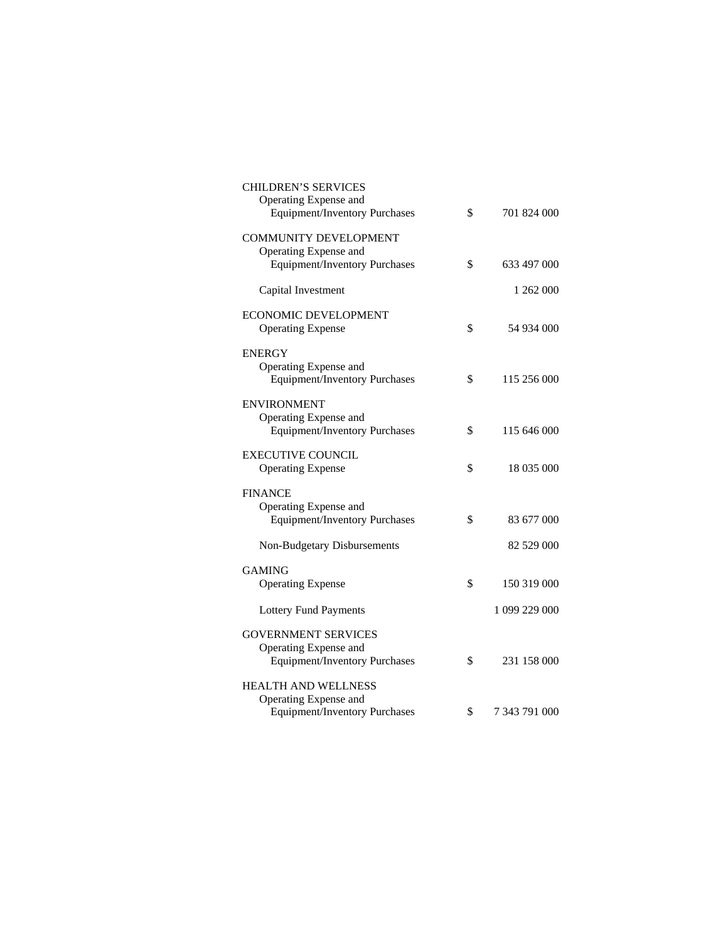| <b>CHILDREN'S SERVICES</b><br>Operating Expense and<br><b>Equipment/Inventory Purchases</b> | \$<br>701 824 000   |
|---------------------------------------------------------------------------------------------|---------------------|
| <b>COMMUNITY DEVELOPMENT</b><br>Operating Expense and                                       |                     |
| <b>Equipment/Inventory Purchases</b>                                                        | \$<br>633 497 000   |
| Capital Investment                                                                          | 1 262 000           |
| ECONOMIC DEVELOPMENT<br><b>Operating Expense</b>                                            | \$<br>54 934 000    |
| <b>ENERGY</b><br>Operating Expense and<br><b>Equipment/Inventory Purchases</b>              | \$<br>115 256 000   |
| <b>ENVIRONMENT</b><br>Operating Expense and<br><b>Equipment/Inventory Purchases</b>         | \$<br>115 646 000   |
| <b>EXECUTIVE COUNCIL</b><br><b>Operating Expense</b>                                        | \$<br>18 035 000    |
| <b>FINANCE</b>                                                                              |                     |
| Operating Expense and<br><b>Equipment/Inventory Purchases</b>                               | \$<br>83 677 000    |
| Non-Budgetary Disbursements                                                                 | 82 529 000          |
| <b>GAMING</b>                                                                               |                     |
| <b>Operating Expense</b>                                                                    | \$<br>150 319 000   |
| <b>Lottery Fund Payments</b>                                                                | 1 099 229 000       |
| <b>GOVERNMENT SERVICES</b>                                                                  |                     |
| Operating Expense and<br><b>Equipment/Inventory Purchases</b>                               | \$<br>231 158 000   |
| <b>HEALTH AND WELLNESS</b><br>Operating Expense and                                         |                     |
| <b>Equipment/Inventory Purchases</b>                                                        | \$<br>7 343 791 000 |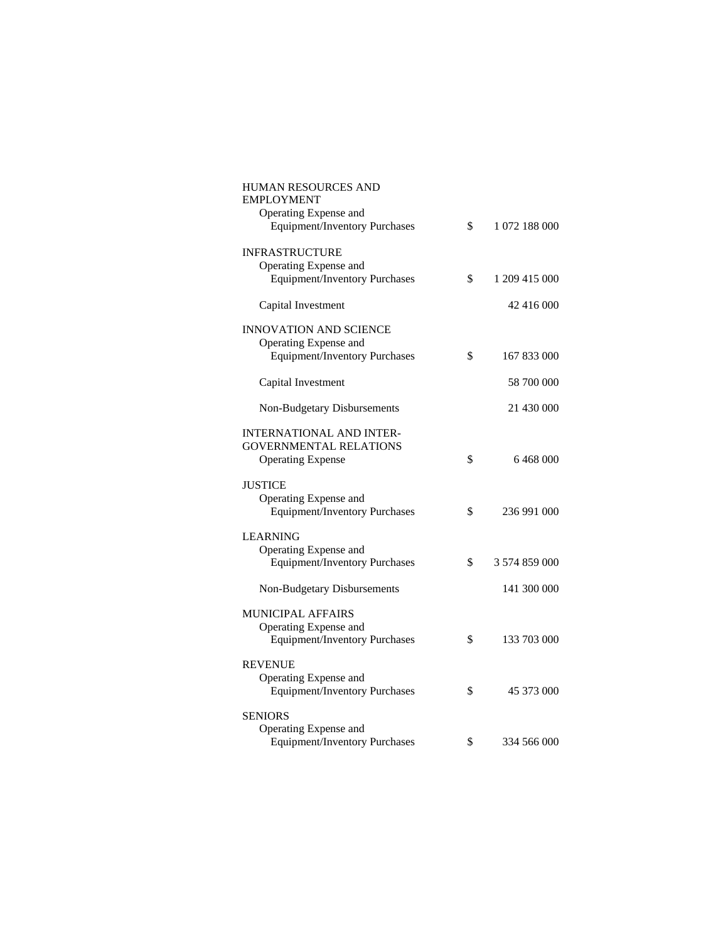| <b>HUMAN RESOURCES AND</b><br><b>EMPLOYMENT</b>               |                     |
|---------------------------------------------------------------|---------------------|
| Operating Expense and                                         |                     |
| <b>Equipment/Inventory Purchases</b>                          | \$<br>1 072 188 000 |
| <b>INFRASTRUCTURE</b>                                         |                     |
| Operating Expense and                                         | \$                  |
| <b>Equipment/Inventory Purchases</b>                          | 1 209 415 000       |
| Capital Investment                                            | 42 416 000          |
| <b>INNOVATION AND SCIENCE</b>                                 |                     |
| Operating Expense and                                         |                     |
| <b>Equipment/Inventory Purchases</b>                          | \$<br>167 833 000   |
| Capital Investment                                            | 58 700 000          |
| Non-Budgetary Disbursements                                   | 21 430 000          |
| <b>INTERNATIONAL AND INTER-</b>                               |                     |
| <b>GOVERNMENTAL RELATIONS</b>                                 |                     |
| <b>Operating Expense</b>                                      | \$<br>6468000       |
|                                                               |                     |
| JUSTICE                                                       |                     |
| Operating Expense and<br><b>Equipment/Inventory Purchases</b> | \$<br>236 991 000   |
|                                                               |                     |
| <b>LEARNING</b>                                               |                     |
| Operating Expense and                                         |                     |
| <b>Equipment/Inventory Purchases</b>                          | \$<br>3 574 859 000 |
| Non-Budgetary Disbursements                                   | 141 300 000         |
| <b>MUNICIPAL AFFAIRS</b>                                      |                     |
| Operating Expense and                                         |                     |
| <b>Equipment/Inventory Purchases</b>                          | \$<br>133 703 000   |
|                                                               |                     |
| <b>REVENUE</b>                                                |                     |
| Operating Expense and<br>Equipment/Inventory Purchases        | \$<br>45 373 000    |
|                                                               |                     |
| <b>SENIORS</b>                                                |                     |
| Operating Expense and                                         |                     |
| <b>Equipment/Inventory Purchases</b>                          | \$<br>334 566 000   |